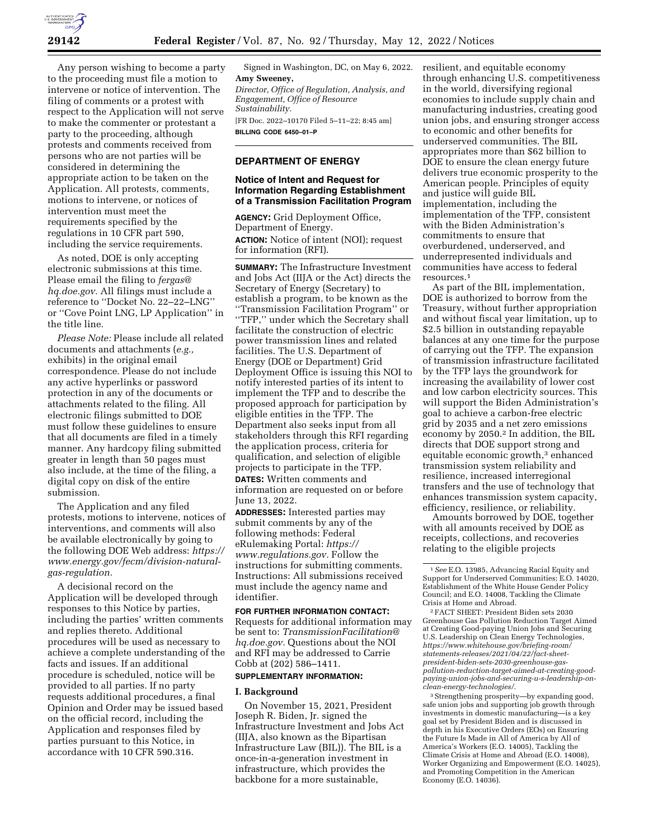Any person wishing to become a party to the proceeding must file a motion to intervene or notice of intervention. The filing of comments or a protest with respect to the Application will not serve to make the commenter or protestant a party to the proceeding, although protests and comments received from persons who are not parties will be considered in determining the appropriate action to be taken on the Application. All protests, comments, motions to intervene, or notices of intervention must meet the requirements specified by the regulations in 10 CFR part 590, including the service requirements.

As noted, DOE is only accepting electronic submissions at this time. Please email the filing to *[fergas@](mailto:fergas@hq.doe.gov) [hq.doe.gov.](mailto:fergas@hq.doe.gov)* All filings must include a reference to ''Docket No. 22–22–LNG'' or ''Cove Point LNG, LP Application'' in the title line.

*Please Note:* Please include all related documents and attachments (*e.g.,*  exhibits) in the original email correspondence. Please do not include any active hyperlinks or password protection in any of the documents or attachments related to the filing. All electronic filings submitted to DOE must follow these guidelines to ensure that all documents are filed in a timely manner. Any hardcopy filing submitted greater in length than 50 pages must also include, at the time of the filing, a digital copy on disk of the entire submission.

The Application and any filed protests, motions to intervene, notices of interventions, and comments will also be available electronically by going to the following DOE Web address: *[https://](https://www.energy.gov/fecm/division-natural-gas-regulation)  [www.energy.gov/fecm/division-natural](https://www.energy.gov/fecm/division-natural-gas-regulation)[gas-regulation.](https://www.energy.gov/fecm/division-natural-gas-regulation)* 

A decisional record on the Application will be developed through responses to this Notice by parties, including the parties' written comments and replies thereto. Additional procedures will be used as necessary to achieve a complete understanding of the facts and issues. If an additional procedure is scheduled, notice will be provided to all parties. If no party requests additional procedures, a final Opinion and Order may be issued based on the official record, including the Application and responses filed by parties pursuant to this Notice, in accordance with 10 CFR 590.316.

Signed in Washington, DC, on May 6, 2022. **Amy Sweeney,** 

*Director, Office of Regulation, Analysis, and Engagement, Office of Resource Sustainability.*  [FR Doc. 2022–10170 Filed 5–11–22; 8:45 am] **BILLING CODE 6450–01–P** 

# **DEPARTMENT OF ENERGY**

#### **Notice of Intent and Request for Information Regarding Establishment of a Transmission Facilitation Program**

**AGENCY:** Grid Deployment Office, Department of Energy. **ACTION:** Notice of intent (NOI); request for information (RFI).

**SUMMARY:** The Infrastructure Investment and Jobs Act (IIJA or the Act) directs the Secretary of Energy (Secretary) to establish a program, to be known as the ''Transmission Facilitation Program'' or ''TFP,'' under which the Secretary shall facilitate the construction of electric power transmission lines and related facilities. The U.S. Department of Energy (DOE or Department) Grid Deployment Office is issuing this NOI to notify interested parties of its intent to implement the TFP and to describe the proposed approach for participation by eligible entities in the TFP. The Department also seeks input from all stakeholders through this RFI regarding the application process, criteria for qualification, and selection of eligible projects to participate in the TFP. **DATES:** Written comments and information are requested on or before June 13, 2022.

**ADDRESSES:** Interested parties may submit comments by any of the following methods: Federal eRulemaking Portal: *[https://](https://www.regulations.gov) [www.regulations.gov.](https://www.regulations.gov)* Follow the instructions for submitting comments. Instructions: All submissions received must include the agency name and identifier.

# **FOR FURTHER INFORMATION CONTACT:**

Requests for additional information may be sent to: *[TransmissionFacilitation@](mailto:TransmissionFacilitation@hq.doe.gov) [hq.doe.gov.](mailto:TransmissionFacilitation@hq.doe.gov)* Questions about the NOI and RFI may be addressed to Carrie Cobb at (202) 586–1411.

# **SUPPLEMENTARY INFORMATION:**

#### **I. Background**

On November 15, 2021, President Joseph R. Biden, Jr. signed the Infrastructure Investment and Jobs Act (IIJA, also known as the Bipartisan Infrastructure Law (BIL)). The BIL is a once-in-a-generation investment in infrastructure, which provides the backbone for a more sustainable,

resilient, and equitable economy through enhancing U.S. competitiveness in the world, diversifying regional economies to include supply chain and manufacturing industries, creating good union jobs, and ensuring stronger access to economic and other benefits for underserved communities. The BIL appropriates more than \$62 billion to DOE to ensure the clean energy future delivers true economic prosperity to the American people. Principles of equity and justice will guide BIL implementation, including the implementation of the TFP, consistent with the Biden Administration's commitments to ensure that overburdened, underserved, and underrepresented individuals and communities have access to federal resources.1

As part of the BIL implementation, DOE is authorized to borrow from the Treasury, without further appropriation and without fiscal year limitation, up to \$2.5 billion in outstanding repayable balances at any one time for the purpose of carrying out the TFP. The expansion of transmission infrastructure facilitated by the TFP lays the groundwork for increasing the availability of lower cost and low carbon electricity sources. This will support the Biden Administration's goal to achieve a carbon-free electric grid by 2035 and a net zero emissions economy by 2050.2 In addition, the BIL directs that DOE support strong and equitable economic growth,<sup>3</sup> enhanced transmission system reliability and resilience, increased interregional transfers and the use of technology that enhances transmission system capacity, efficiency, resilience, or reliability.

Amounts borrowed by DOE, together with all amounts received by DOE as receipts, collections, and recoveries relating to the eligible projects

<sup>2</sup> FACT SHEET: President Biden sets 2030 Greenhouse Gas Pollution Reduction Target Aimed at Creating Good-paying Union Jobs and Securing U.S. Leadership on Clean Energy Technologies, *[https://www.whitehouse.gov/briefing-room/](https://www.whitehouse.gov/briefing-room/statements-releases/2021/04/22/fact-sheet-president-biden-sets-2030-greenhouse-gas-pollution-reduction-target-aimed-at-creating-good-paying-union-jobs-and-securing-u-s-leadership-on-clean-energy-technologies/)  [statements-releases/2021/04/22/fact-sheet](https://www.whitehouse.gov/briefing-room/statements-releases/2021/04/22/fact-sheet-president-biden-sets-2030-greenhouse-gas-pollution-reduction-target-aimed-at-creating-good-paying-union-jobs-and-securing-u-s-leadership-on-clean-energy-technologies/)[president-biden-sets-2030-greenhouse-gas](https://www.whitehouse.gov/briefing-room/statements-releases/2021/04/22/fact-sheet-president-biden-sets-2030-greenhouse-gas-pollution-reduction-target-aimed-at-creating-good-paying-union-jobs-and-securing-u-s-leadership-on-clean-energy-technologies/)[pollution-reduction-target-aimed-at-creating-good](https://www.whitehouse.gov/briefing-room/statements-releases/2021/04/22/fact-sheet-president-biden-sets-2030-greenhouse-gas-pollution-reduction-target-aimed-at-creating-good-paying-union-jobs-and-securing-u-s-leadership-on-clean-energy-technologies/)[paying-union-jobs-and-securing-u-s-leadership-on](https://www.whitehouse.gov/briefing-room/statements-releases/2021/04/22/fact-sheet-president-biden-sets-2030-greenhouse-gas-pollution-reduction-target-aimed-at-creating-good-paying-union-jobs-and-securing-u-s-leadership-on-clean-energy-technologies/)[clean-energy-technologies/.](https://www.whitehouse.gov/briefing-room/statements-releases/2021/04/22/fact-sheet-president-biden-sets-2030-greenhouse-gas-pollution-reduction-target-aimed-at-creating-good-paying-union-jobs-and-securing-u-s-leadership-on-clean-energy-technologies/)* 

3Strengthening prosperity—by expanding good, safe union jobs and supporting job growth through investments in domestic manufacturing—is a key goal set by President Biden and is discussed in depth in his Executive Orders (EOs) on Ensuring the Future Is Made in All of America by All of America's Workers (E.O. 14005), Tackling the Climate Crisis at Home and Abroad (E.O. 14008), Worker Organizing and Empowerment (E.O. 14025), and Promoting Competition in the American Economy (E.O. 14036).

<sup>1</sup>*See* E.O. 13985, Advancing Racial Equity and Support for Underserved Communities; E.O. 14020, Establishment of the White House Gender Policy Council; and E.O. 14008, Tackling the Climate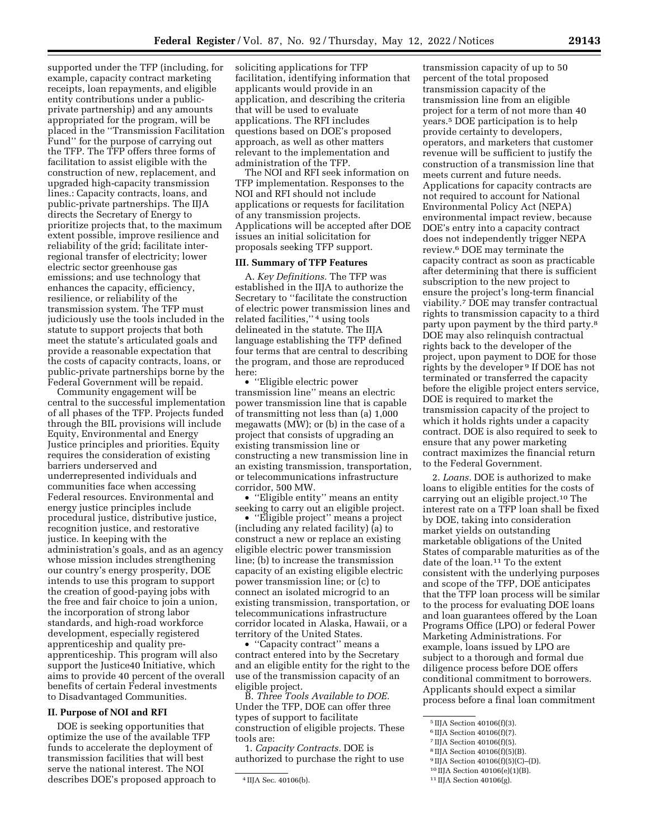supported under the TFP (including, for example, capacity contract marketing receipts, loan repayments, and eligible entity contributions under a publicprivate partnership) and any amounts appropriated for the program, will be placed in the ''Transmission Facilitation Fund'' for the purpose of carrying out the TFP. The TFP offers three forms of facilitation to assist eligible with the construction of new, replacement, and upgraded high-capacity transmission lines.: Capacity contracts, loans, and public-private partnerships. The IIJA directs the Secretary of Energy to prioritize projects that, to the maximum extent possible, improve resilience and reliability of the grid; facilitate interregional transfer of electricity; lower electric sector greenhouse gas emissions; and use technology that enhances the capacity, efficiency, resilience, or reliability of the transmission system. The TFP must judiciously use the tools included in the statute to support projects that both meet the statute's articulated goals and provide a reasonable expectation that the costs of capacity contracts, loans, or public-private partnerships borne by the Federal Government will be repaid.

Community engagement will be central to the successful implementation of all phases of the TFP. Projects funded through the BIL provisions will include Equity, Environmental and Energy Justice principles and priorities. Equity requires the consideration of existing barriers underserved and underrepresented individuals and communities face when accessing Federal resources. Environmental and energy justice principles include procedural justice, distributive justice, recognition justice, and restorative justice. In keeping with the administration's goals, and as an agency whose mission includes strengthening our country's energy prosperity, DOE intends to use this program to support the creation of good-paying jobs with the free and fair choice to join a union, the incorporation of strong labor standards, and high-road workforce development, especially registered apprenticeship and quality preapprenticeship. This program will also support the Justice40 Initiative, which aims to provide 40 percent of the overall benefits of certain Federal investments to Disadvantaged Communities.

#### **II. Purpose of NOI and RFI**

DOE is seeking opportunities that optimize the use of the available TFP funds to accelerate the deployment of transmission facilities that will best serve the national interest. The NOI describes DOE's proposed approach to soliciting applications for TFP facilitation, identifying information that applicants would provide in an application, and describing the criteria that will be used to evaluate applications. The RFI includes questions based on DOE's proposed approach, as well as other matters relevant to the implementation and administration of the TFP.

The NOI and RFI seek information on TFP implementation. Responses to the NOI and RFI should not include applications or requests for facilitation of any transmission projects. Applications will be accepted after DOE issues an initial solicitation for proposals seeking TFP support.

# **III. Summary of TFP Features**

A. *Key Definitions.* The TFP was established in the IIJA to authorize the Secretary to ''facilitate the construction of electric power transmission lines and related facilities,'' 4 using tools delineated in the statute. The IIJA language establishing the TFP defined four terms that are central to describing the program, and those are reproduced here:

• ''Eligible electric power transmission line'' means an electric power transmission line that is capable of transmitting not less than (a) 1,000 megawatts (MW); or (b) in the case of a project that consists of upgrading an existing transmission line or constructing a new transmission line in an existing transmission, transportation, or telecommunications infrastructure corridor, 500 MW.

• ''Eligible entity'' means an entity seeking to carry out an eligible project.

• ''Eligible project'' means a project (including any related facility) (a) to construct a new or replace an existing eligible electric power transmission line; (b) to increase the transmission capacity of an existing eligible electric power transmission line; or (c) to connect an isolated microgrid to an existing transmission, transportation, or telecommunications infrastructure corridor located in Alaska, Hawaii, or a territory of the United States.

• ''Capacity contract'' means a contract entered into by the Secretary and an eligible entity for the right to the use of the transmission capacity of an eligible project.

B. *Three Tools Available to DOE.*  Under the TFP, DOE can offer three types of support to facilitate construction of eligible projects. These tools are:

1. *Capacity Contracts.* DOE is authorized to purchase the right to use

transmission capacity of up to 50 percent of the total proposed transmission capacity of the transmission line from an eligible project for a term of not more than 40 years.5 DOE participation is to help provide certainty to developers, operators, and marketers that customer revenue will be sufficient to justify the construction of a transmission line that meets current and future needs. Applications for capacity contracts are not required to account for National Environmental Policy Act (NEPA) environmental impact review, because DOE's entry into a capacity contract does not independently trigger NEPA review.6 DOE may terminate the capacity contract as soon as practicable after determining that there is sufficient subscription to the new project to ensure the project's long-term financial viability.7 DOE may transfer contractual rights to transmission capacity to a third party upon payment by the third party.8 DOE may also relinquish contractual rights back to the developer of the project, upon payment to DOE for those rights by the developer 9 If DOE has not terminated or transferred the capacity before the eligible project enters service, DOE is required to market the transmission capacity of the project to which it holds rights under a capacity contract. DOE is also required to seek to ensure that any power marketing contract maximizes the financial return to the Federal Government.

2. *Loans.* DOE is authorized to make loans to eligible entities for the costs of carrying out an eligible project.10 The interest rate on a TFP loan shall be fixed by DOE, taking into consideration market yields on outstanding marketable obligations of the United States of comparable maturities as of the date of the loan.11 To the extent consistent with the underlying purposes and scope of the TFP, DOE anticipates that the TFP loan process will be similar to the process for evaluating DOE loans and loan guarantees offered by the Loan Programs Office (LPO) or federal Power Marketing Administrations. For example, loans issued by LPO are subject to a thorough and formal due diligence process before DOE offers conditional commitment to borrowers. Applicants should expect a similar process before a final loan commitment

- 6 IIJA Section 40106(f)(7).
- 7 IIJA Section 40106(f)(5).
- 8 IIJA Section 40106(f)(5)(B).
- 9 IIJA Section 40106(f)(5)(C)–(D).
- 10 IIJA Section 40106(e)(1)(B).
- 11 IIJA Section 40106(g).

<sup>4</sup> IIJA Sec. 40106(b).

<sup>5</sup> IIJA Section 40106(f)(3).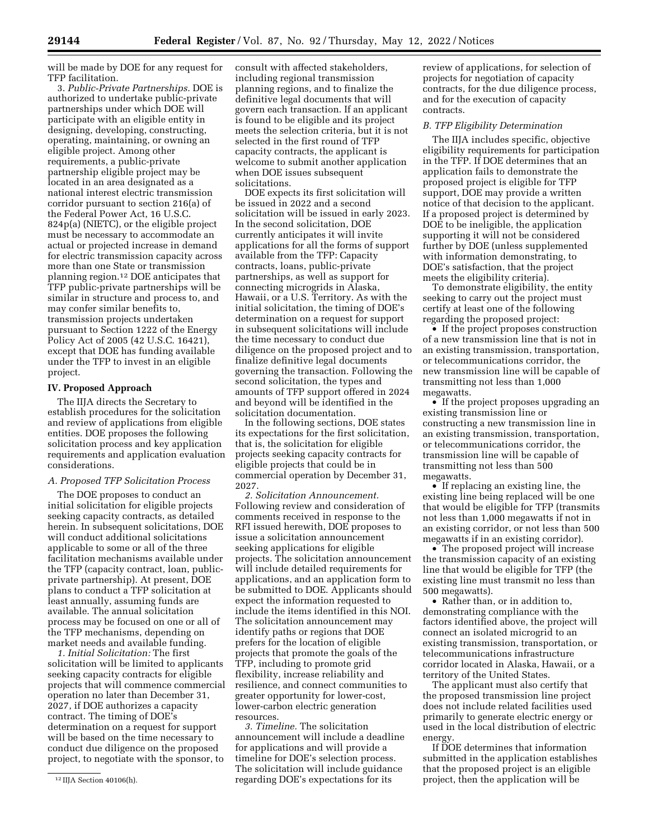will be made by DOE for any request for TFP facilitation.

3. *Public-Private Partnerships.* DOE is authorized to undertake public-private partnerships under which DOE will participate with an eligible entity in designing, developing, constructing, operating, maintaining, or owning an eligible project. Among other requirements, a public-private partnership eligible project may be located in an area designated as a national interest electric transmission corridor pursuant to section 216(a) of the Federal Power Act, 16 U.S.C. 824p(a) (NIETC), or the eligible project must be necessary to accommodate an actual or projected increase in demand for electric transmission capacity across more than one State or transmission planning region.12 DOE anticipates that TFP public-private partnerships will be similar in structure and process to, and may confer similar benefits to, transmission projects undertaken pursuant to Section 1222 of the Energy Policy Act of 2005 (42 U.S.C. 16421), except that DOE has funding available under the TFP to invest in an eligible project.

#### **IV. Proposed Approach**

The IIJA directs the Secretary to establish procedures for the solicitation and review of applications from eligible entities. DOE proposes the following solicitation process and key application requirements and application evaluation considerations.

# *A. Proposed TFP Solicitation Process*

The DOE proposes to conduct an initial solicitation for eligible projects seeking capacity contracts, as detailed herein. In subsequent solicitations, DOE will conduct additional solicitations applicable to some or all of the three facilitation mechanisms available under the TFP (capacity contract, loan, publicprivate partnership). At present, DOE plans to conduct a TFP solicitation at least annually, assuming funds are available. The annual solicitation process may be focused on one or all of the TFP mechanisms, depending on market needs and available funding.

*1. Initial Solicitation:* The first solicitation will be limited to applicants seeking capacity contracts for eligible projects that will commence commercial operation no later than December 31, 2027, if DOE authorizes a capacity contract. The timing of DOE's determination on a request for support will be based on the time necessary to conduct due diligence on the proposed project, to negotiate with the sponsor, to

consult with affected stakeholders, including regional transmission planning regions, and to finalize the definitive legal documents that will govern each transaction. If an applicant is found to be eligible and its project meets the selection criteria, but it is not selected in the first round of TFP capacity contracts, the applicant is welcome to submit another application when DOE issues subsequent solicitations.

DOE expects its first solicitation will be issued in 2022 and a second solicitation will be issued in early 2023. In the second solicitation, DOE currently anticipates it will invite applications for all the forms of support available from the TFP: Capacity contracts, loans, public-private partnerships, as well as support for connecting microgrids in Alaska, Hawaii, or a U.S. Territory. As with the initial solicitation, the timing of DOE's determination on a request for support in subsequent solicitations will include the time necessary to conduct due diligence on the proposed project and to finalize definitive legal documents governing the transaction. Following the second solicitation, the types and amounts of TFP support offered in 2024 and beyond will be identified in the solicitation documentation.

In the following sections, DOE states its expectations for the first solicitation, that is, the solicitation for eligible projects seeking capacity contracts for eligible projects that could be in commercial operation by December 31, 2027.

*2. Solicitation Announcement.*  Following review and consideration of comments received in response to the RFI issued herewith, DOE proposes to issue a solicitation announcement seeking applications for eligible projects. The solicitation announcement will include detailed requirements for applications, and an application form to be submitted to DOE. Applicants should expect the information requested to include the items identified in this NOI. The solicitation announcement may identify paths or regions that DOE prefers for the location of eligible projects that promote the goals of the TFP, including to promote grid flexibility, increase reliability and resilience, and connect communities to greater opportunity for lower-cost, lower-carbon electric generation resources.

*3. Timeline.* The solicitation announcement will include a deadline for applications and will provide a timeline for DOE's selection process. The solicitation will include guidance regarding DOE's expectations for its

review of applications, for selection of projects for negotiation of capacity contracts, for the due diligence process, and for the execution of capacity contracts.

#### *B. TFP Eligibility Determination*

The IIJA includes specific, objective eligibility requirements for participation in the TFP. If DOE determines that an application fails to demonstrate the proposed project is eligible for TFP support, DOE may provide a written notice of that decision to the applicant. If a proposed project is determined by DOE to be ineligible, the application supporting it will not be considered further by DOE (unless supplemented with information demonstrating, to DOE's satisfaction, that the project meets the eligibility criteria).

To demonstrate eligibility, the entity seeking to carry out the project must certify at least one of the following regarding the proposed project:

• If the project proposes construction of a new transmission line that is not in an existing transmission, transportation, or telecommunications corridor, the new transmission line will be capable of transmitting not less than 1,000 megawatts.

• If the project proposes upgrading an existing transmission line or constructing a new transmission line in an existing transmission, transportation, or telecommunications corridor, the transmission line will be capable of transmitting not less than 500 megawatts.

• If replacing an existing line, the existing line being replaced will be one that would be eligible for TFP (transmits not less than 1,000 megawatts if not in an existing corridor, or not less than 500 megawatts if in an existing corridor).

• The proposed project will increase the transmission capacity of an existing line that would be eligible for TFP (the existing line must transmit no less than 500 megawatts).

• Rather than, or in addition to, demonstrating compliance with the factors identified above, the project will connect an isolated microgrid to an existing transmission, transportation, or telecommunications infrastructure corridor located in Alaska, Hawaii, or a territory of the United States.

The applicant must also certify that the proposed transmission line project does not include related facilities used primarily to generate electric energy or used in the local distribution of electric energ

If DOE determines that information submitted in the application establishes that the proposed project is an eligible project, then the application will be

<sup>12</sup> IIJA Section 40106(h).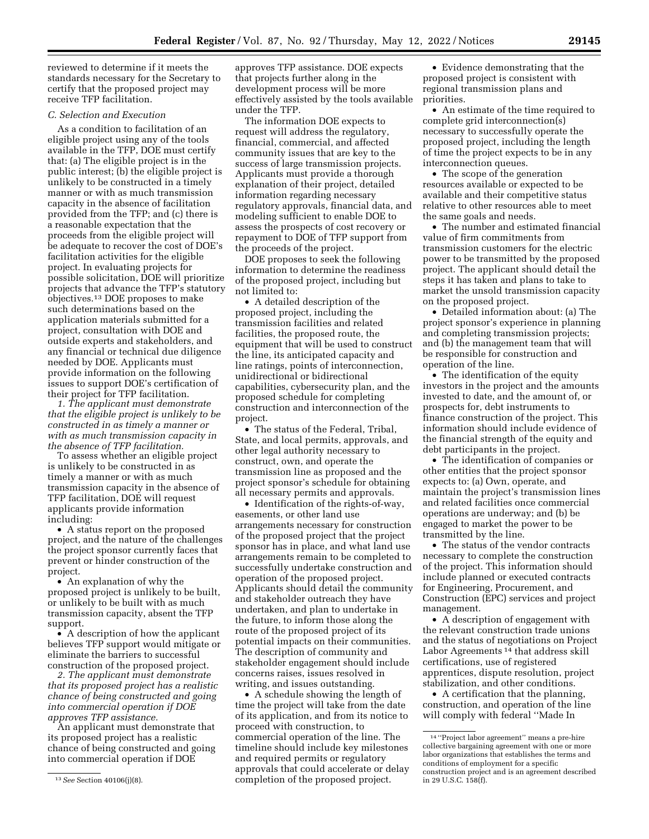reviewed to determine if it meets the standards necessary for the Secretary to certify that the proposed project may receive TFP facilitation.

# *C. Selection and Execution*

As a condition to facilitation of an eligible project using any of the tools available in the TFP, DOE must certify that: (a) The eligible project is in the public interest; (b) the eligible project is unlikely to be constructed in a timely manner or with as much transmission capacity in the absence of facilitation provided from the TFP; and (c) there is a reasonable expectation that the proceeds from the eligible project will be adequate to recover the cost of DOE's facilitation activities for the eligible project. In evaluating projects for possible solicitation, DOE will prioritize projects that advance the TFP's statutory objectives.13 DOE proposes to make such determinations based on the application materials submitted for a project, consultation with DOE and outside experts and stakeholders, and any financial or technical due diligence needed by DOE. Applicants must provide information on the following issues to support DOE's certification of their project for TFP facilitation.

*1. The applicant must demonstrate that the eligible project is unlikely to be constructed in as timely a manner or with as much transmission capacity in the absence of TFP facilitation.* 

To assess whether an eligible project is unlikely to be constructed in as timely a manner or with as much transmission capacity in the absence of TFP facilitation, DOE will request applicants provide information including:

• A status report on the proposed project, and the nature of the challenges the project sponsor currently faces that prevent or hinder construction of the project.

• An explanation of why the proposed project is unlikely to be built, or unlikely to be built with as much transmission capacity, absent the TFP support.

• A description of how the applicant believes TFP support would mitigate or eliminate the barriers to successful construction of the proposed project.

*2. The applicant must demonstrate that its proposed project has a realistic chance of being constructed and going into commercial operation if DOE approves TFP assistance.* 

An applicant must demonstrate that its proposed project has a realistic chance of being constructed and going into commercial operation if DOE

13*See* Section 40106(j)(8).

approves TFP assistance. DOE expects that projects further along in the development process will be more effectively assisted by the tools available under the TFP.

The information DOE expects to request will address the regulatory, financial, commercial, and affected community issues that are key to the success of large transmission projects. Applicants must provide a thorough explanation of their project, detailed information regarding necessary regulatory approvals, financial data, and modeling sufficient to enable DOE to assess the prospects of cost recovery or repayment to DOE of TFP support from the proceeds of the project.

DOE proposes to seek the following information to determine the readiness of the proposed project, including but not limited to:

• A detailed description of the proposed project, including the transmission facilities and related facilities, the proposed route, the equipment that will be used to construct the line, its anticipated capacity and line ratings, points of interconnection, unidirectional or bidirectional capabilities, cybersecurity plan, and the proposed schedule for completing construction and interconnection of the project.

• The status of the Federal, Tribal, State, and local permits, approvals, and other legal authority necessary to construct, own, and operate the transmission line as proposed and the project sponsor's schedule for obtaining all necessary permits and approvals.

• Identification of the rights-of-way, easements, or other land use arrangements necessary for construction of the proposed project that the project sponsor has in place, and what land use arrangements remain to be completed to successfully undertake construction and operation of the proposed project. Applicants should detail the community and stakeholder outreach they have undertaken, and plan to undertake in the future, to inform those along the route of the proposed project of its potential impacts on their communities. The description of community and stakeholder engagement should include concerns raises, issues resolved in writing, and issues outstanding.

• A schedule showing the length of time the project will take from the date of its application, and from its notice to proceed with construction, to commercial operation of the line. The timeline should include key milestones and required permits or regulatory approvals that could accelerate or delay completion of the proposed project.

• Evidence demonstrating that the proposed project is consistent with regional transmission plans and priorities.

• An estimate of the time required to complete grid interconnection(s) necessary to successfully operate the proposed project, including the length of time the project expects to be in any interconnection queues.

• The scope of the generation resources available or expected to be available and their competitive status relative to other resources able to meet the same goals and needs.

• The number and estimated financial value of firm commitments from transmission customers for the electric power to be transmitted by the proposed project. The applicant should detail the steps it has taken and plans to take to market the unsold transmission capacity on the proposed project.

• Detailed information about: (a) The project sponsor's experience in planning and completing transmission projects; and (b) the management team that will be responsible for construction and operation of the line.

• The identification of the equity investors in the project and the amounts invested to date, and the amount of, or prospects for, debt instruments to finance construction of the project. This information should include evidence of the financial strength of the equity and debt participants in the project.

• The identification of companies or other entities that the project sponsor expects to: (a) Own, operate, and maintain the project's transmission lines and related facilities once commercial operations are underway; and (b) be engaged to market the power to be transmitted by the line.

• The status of the vendor contracts necessary to complete the construction of the project. This information should include planned or executed contracts for Engineering, Procurement, and Construction (EPC) services and project management.

• A description of engagement with the relevant construction trade unions and the status of negotiations on Project Labor Agreements<sup>14</sup> that address skill certifications, use of registered apprentices, dispute resolution, project stabilization, and other conditions.

• A certification that the planning, construction, and operation of the line will comply with federal ''Made In

<sup>14</sup> ''Project labor agreement'' means a pre-hire collective bargaining agreement with one or more labor organizations that establishes the terms and conditions of employment for a specific construction project and is an agreement described in 29 U.S.C. 158(f).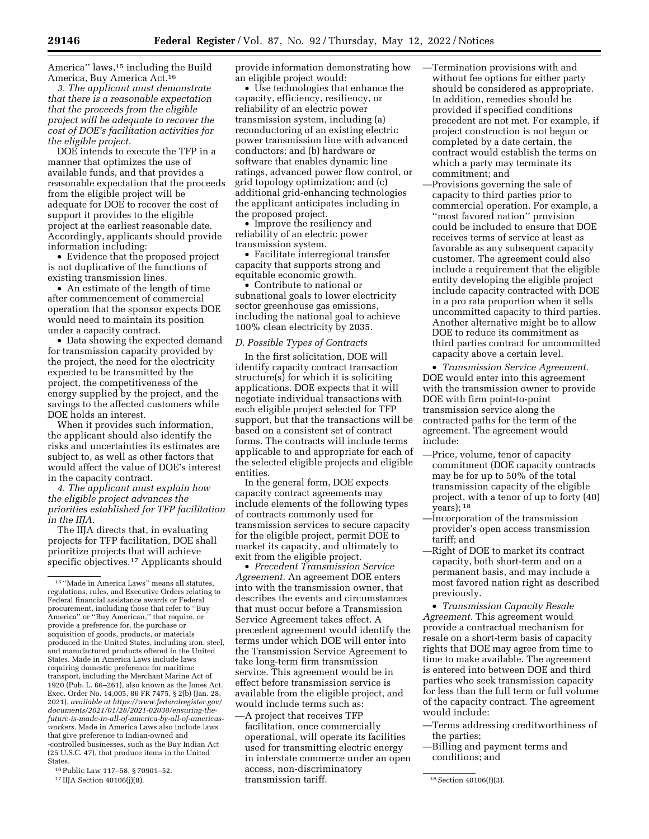America" laws,<sup>15</sup> including the Build America, Buy America Act.16

*3. The applicant must demonstrate that there is a reasonable expectation that the proceeds from the eligible project will be adequate to recover the cost of DOE's facilitation activities for the eligible project.* 

DOE intends to execute the TFP in a manner that optimizes the use of available funds, and that provides a reasonable expectation that the proceeds from the eligible project will be adequate for DOE to recover the cost of support it provides to the eligible project at the earliest reasonable date. Accordingly, applicants should provide information including:

• Evidence that the proposed project is not duplicative of the functions of existing transmission lines.

• An estimate of the length of time after commencement of commercial operation that the sponsor expects DOE would need to maintain its position under a capacity contract.

• Data showing the expected demand for transmission capacity provided by the project, the need for the electricity expected to be transmitted by the project, the competitiveness of the energy supplied by the project, and the savings to the affected customers while DOE holds an interest.

When it provides such information, the applicant should also identify the risks and uncertainties its estimates are subject to, as well as other factors that would affect the value of DOE's interest in the capacity contract.

*4. The applicant must explain how the eligible project advances the priorities established for TFP facilitation in the IIJA.* 

The IIJA directs that, in evaluating projects for TFP facilitation, DOE shall prioritize projects that will achieve specific objectives.<sup>17</sup> Applicants should

16Public Law 117–58, § 70901–52.

provide information demonstrating how an eligible project would:

• Use technologies that enhance the capacity, efficiency, resiliency, or reliability of an electric power transmission system, including (a) reconductoring of an existing electric power transmission line with advanced conductors; and (b) hardware or software that enables dynamic line ratings, advanced power flow control, or grid topology optimization; and (c) additional grid-enhancing technologies the applicant anticipates including in the proposed project.

• Improve the resiliency and reliability of an electric power transmission system.

• Facilitate interregional transfer capacity that supports strong and equitable economic growth.

• Contribute to national or subnational goals to lower electricity sector greenhouse gas emissions, including the national goal to achieve 100% clean electricity by 2035.

#### *D. Possible Types of Contracts*

In the first solicitation, DOE will identify capacity contract transaction structure(s) for which it is soliciting applications. DOE expects that it will negotiate individual transactions with each eligible project selected for TFP support, but that the transactions will be based on a consistent set of contract forms. The contracts will include terms applicable to and appropriate for each of the selected eligible projects and eligible entities.

In the general form, DOE expects capacity contract agreements may include elements of the following types of contracts commonly used for transmission services to secure capacity for the eligible project, permit DOE to market its capacity, and ultimately to exit from the eligible project.

• *Precedent Transmission Service Agreement.* An agreement DOE enters into with the transmission owner, that describes the events and circumstances that must occur before a Transmission Service Agreement takes effect. A precedent agreement would identify the terms under which DOE will enter into the Transmission Service Agreement to take long-term firm transmission service. This agreement would be in effect before transmission service is available from the eligible project, and would include terms such as:

<sup>17</sup> IIJA Section 40106(j)(8). **18** Section 40106(f)(3). **18** Section 40106(f)(3). —A project that receives TFP facilitation, once commercially operational, will operate its facilities used for transmitting electric energy in interstate commerce under an open access, non-discriminatory transmission tariff.

- —Termination provisions with and without fee options for either party should be considered as appropriate. In addition, remedies should be provided if specified conditions precedent are not met. For example, if project construction is not begun or completed by a date certain, the contract would establish the terms on which a party may terminate its commitment; and
- —Provisions governing the sale of capacity to third parties prior to commercial operation. For example, a ''most favored nation'' provision could be included to ensure that DOE receives terms of service at least as favorable as any subsequent capacity customer. The agreement could also include a requirement that the eligible entity developing the eligible project include capacity contracted with DOE in a pro rata proportion when it sells uncommitted capacity to third parties. Another alternative might be to allow DOE to reduce its commitment as third parties contract for uncommitted capacity above a certain level.

• *Transmission Service Agreement.*  DOE would enter into this agreement with the transmission owner to provide DOE with firm point-to-point transmission service along the contracted paths for the term of the agreement. The agreement would include:

- —Price, volume, tenor of capacity commitment (DOE capacity contracts may be for up to 50% of the total transmission capacity of the eligible project, with a tenor of up to forty (40) years); 18
- —Incorporation of the transmission provider's open access transmission tariff; and
- —Right of DOE to market its contract capacity, both short-term and on a permanent basis, and may include a most favored nation right as described previously.

• *Transmission Capacity Resale Agreement.* This agreement would provide a contractual mechanism for resale on a short-term basis of capacity rights that DOE may agree from time to time to make available. The agreement is entered into between DOE and third parties who seek transmission capacity for less than the full term or full volume of the capacity contract. The agreement would include:

- —Terms addressing creditworthiness of the parties;
- —Billing and payment terms and conditions; and

<sup>15</sup> ''Made in America Laws'' means all statutes, regulations, rules, and Executive Orders relating to Federal financial assistance awards or Federal procurement, including those that refer to ''Buy America'' or ''Buy American,'' that require, or provide a preference for, the purchase or acquisition of goods, products, or materials produced in the United States, including iron, steel, and manufactured products offered in the United States. Made in America Laws include laws requiring domestic preference for maritime transport, including the Merchant Marine Act of 1920 (Pub. L. 66–261), also known as the Jones Act. Exec. Order No. 14,005, 86 FR 7475, § 2(b) (Jan. 28, 2021), *available at [https://www.federalregister.gov/](https://www.federalregister.gov/documents/2021/01/28/2021-02038/ensuring-the-future-is-made-in-all-of-america-by-all-of-americas-workers)  [documents/2021/01/28/2021-02038/ensuring-the](https://www.federalregister.gov/documents/2021/01/28/2021-02038/ensuring-the-future-is-made-in-all-of-america-by-all-of-americas-workers)[future-is-made-in-all-of-america-by-all-of-americas](https://www.federalregister.gov/documents/2021/01/28/2021-02038/ensuring-the-future-is-made-in-all-of-america-by-all-of-americas-workers)[workers.](https://www.federalregister.gov/documents/2021/01/28/2021-02038/ensuring-the-future-is-made-in-all-of-america-by-all-of-americas-workers)* Made in America Laws also include laws that give preference to Indian-owned and -controlled businesses, such as the Buy Indian Act (25 U.S.C. 47), that produce items in the United States.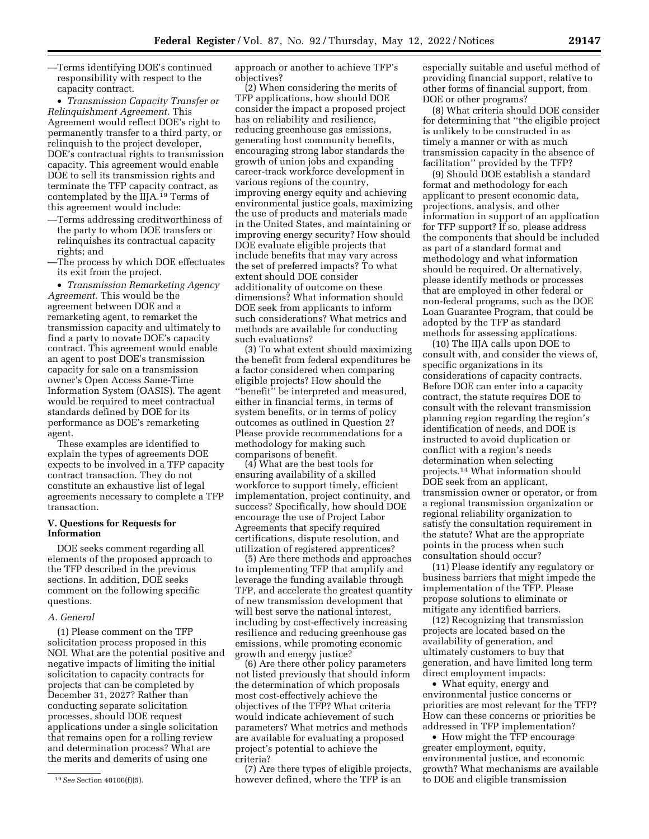—Terms identifying DOE's continued responsibility with respect to the capacity contract.

• *Transmission Capacity Transfer or Relinquishment Agreement.* This Agreement would reflect DOE's right to permanently transfer to a third party, or relinquish to the project developer, DOE's contractual rights to transmission capacity. This agreement would enable DOE to sell its transmission rights and terminate the TFP capacity contract, as contemplated by the IIJA.<sup>19</sup> Terms of this agreement would include:

- —Terms addressing creditworthiness of the party to whom DOE transfers or relinquishes its contractual capacity rights; and
- —The process by which DOE effectuates its exit from the project.

• *Transmission Remarketing Agency Agreement.* This would be the agreement between DOE and a remarketing agent, to remarket the transmission capacity and ultimately to find a party to novate DOE's capacity contract. This agreement would enable an agent to post DOE's transmission capacity for sale on a transmission owner's Open Access Same-Time Information System (OASIS). The agent would be required to meet contractual standards defined by DOE for its performance as DOE's remarketing agent.

These examples are identified to explain the types of agreements DOE expects to be involved in a TFP capacity contract transaction. They do not constitute an exhaustive list of legal agreements necessary to complete a TFP transaction.

# **V. Questions for Requests for Information**

DOE seeks comment regarding all elements of the proposed approach to the TFP described in the previous sections. In addition, DOE seeks comment on the following specific questions.

# *A. General*

(1) Please comment on the TFP solicitation process proposed in this NOI. What are the potential positive and negative impacts of limiting the initial solicitation to capacity contracts for projects that can be completed by December 31, 2027? Rather than conducting separate solicitation processes, should DOE request applications under a single solicitation that remains open for a rolling review and determination process? What are the merits and demerits of using one

approach or another to achieve TFP's objectives?

(2) When considering the merits of TFP applications, how should DOE consider the impact a proposed project has on reliability and resilience, reducing greenhouse gas emissions, generating host community benefits, encouraging strong labor standards the growth of union jobs and expanding career-track workforce development in various regions of the country, improving energy equity and achieving environmental justice goals, maximizing the use of products and materials made in the United States, and maintaining or improving energy security? How should DOE evaluate eligible projects that include benefits that may vary across the set of preferred impacts? To what extent should DOE consider additionality of outcome on these dimensions? What information should DOE seek from applicants to inform such considerations? What metrics and methods are available for conducting such evaluations?

(3) To what extent should maximizing the benefit from federal expenditures be a factor considered when comparing eligible projects? How should the ''benefit'' be interpreted and measured, either in financial terms, in terms of system benefits, or in terms of policy outcomes as outlined in Question 2? Please provide recommendations for a methodology for making such comparisons of benefit.

(4) What are the best tools for ensuring availability of a skilled workforce to support timely, efficient implementation, project continuity, and success? Specifically, how should DOE encourage the use of Project Labor Agreements that specify required certifications, dispute resolution, and utilization of registered apprentices?

(5) Are there methods and approaches to implementing TFP that amplify and leverage the funding available through TFP, and accelerate the greatest quantity of new transmission development that will best serve the national interest, including by cost-effectively increasing resilience and reducing greenhouse gas emissions, while promoting economic growth and energy justice?

(6) Are there other policy parameters not listed previously that should inform the determination of which proposals most cost-effectively achieve the objectives of the TFP? What criteria would indicate achievement of such parameters? What metrics and methods are available for evaluating a proposed project's potential to achieve the criteria?

(7) Are there types of eligible projects, however defined, where the TFP is an

especially suitable and useful method of providing financial support, relative to other forms of financial support, from DOE or other programs?

(8) What criteria should DOE consider for determining that ''the eligible project is unlikely to be constructed in as timely a manner or with as much transmission capacity in the absence of facilitation'' provided by the TFP?

(9) Should DOE establish a standard format and methodology for each applicant to present economic data, projections, analysis, and other information in support of an application for TFP support? If so, please address the components that should be included as part of a standard format and methodology and what information should be required. Or alternatively, please identify methods or processes that are employed in other federal or non-federal programs, such as the DOE Loan Guarantee Program, that could be adopted by the TFP as standard methods for assessing applications.

(10) The IIJA calls upon DOE to consult with, and consider the views of, specific organizations in its considerations of capacity contracts. Before DOE can enter into a capacity contract, the statute requires DOE to consult with the relevant transmission planning region regarding the region's identification of needs, and DOE is instructed to avoid duplication or conflict with a region's needs determination when selecting projects.14 What information should DOE seek from an applicant, transmission owner or operator, or from a regional transmission organization or regional reliability organization to satisfy the consultation requirement in the statute? What are the appropriate points in the process when such consultation should occur?

(11) Please identify any regulatory or business barriers that might impede the implementation of the TFP. Please propose solutions to eliminate or mitigate any identified barriers.

(12) Recognizing that transmission projects are located based on the availability of generation, and ultimately customers to buy that generation, and have limited long term direct employment impacts:

• What equity, energy and environmental justice concerns or priorities are most relevant for the TFP? How can these concerns or priorities be addressed in TFP implementation?

• How might the TFP encourage greater employment, equity, environmental justice, and economic growth? What mechanisms are available to DOE and eligible transmission

<sup>19</sup>*See* Section 40106(f)(5).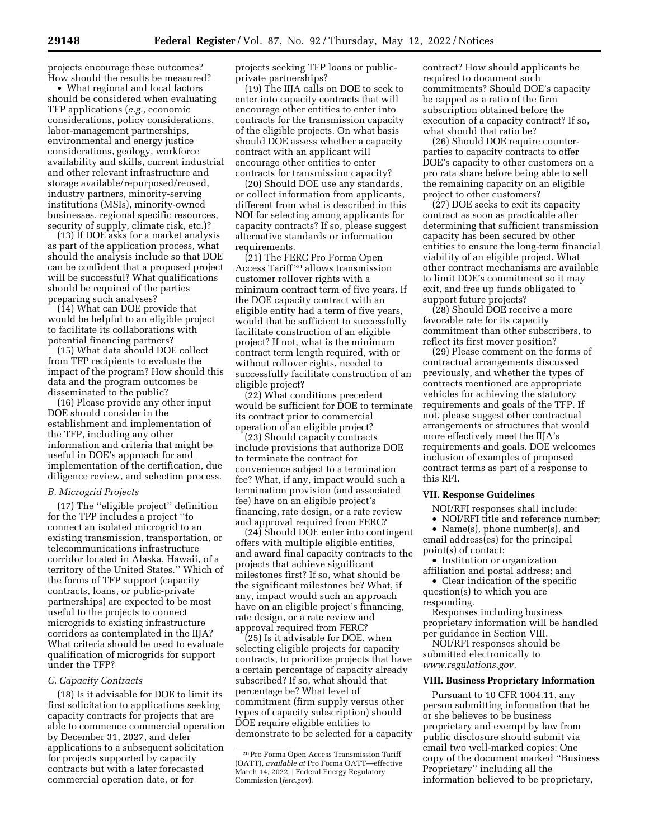projects encourage these outcomes? How should the results be measured?

• What regional and local factors should be considered when evaluating TFP applications (*e.g.,* economic considerations, policy considerations, labor-management partnerships, environmental and energy justice considerations, geology, workforce availability and skills, current industrial and other relevant infrastructure and storage available/repurposed/reused, industry partners, minority-serving institutions (MSIs), minority-owned businesses, regional specific resources, security of supply, climate risk, etc.)?

(13) If DOE asks for a market analysis as part of the application process, what should the analysis include so that DOE can be confident that a proposed project will be successful? What qualifications should be required of the parties preparing such analyses?

(14) What can DOE provide that would be helpful to an eligible project to facilitate its collaborations with potential financing partners?

(15) What data should DOE collect from TFP recipients to evaluate the impact of the program? How should this data and the program outcomes be disseminated to the public?

(16) Please provide any other input DOE should consider in the establishment and implementation of the TFP, including any other information and criteria that might be useful in DOE's approach for and implementation of the certification, due diligence review, and selection process.

#### *B. Microgrid Projects*

(17) The ''eligible project'' definition for the TFP includes a project ''to connect an isolated microgrid to an existing transmission, transportation, or telecommunications infrastructure corridor located in Alaska, Hawaii, of a territory of the United States.'' Which of the forms of TFP support (capacity contracts, loans, or public-private partnerships) are expected to be most useful to the projects to connect microgrids to existing infrastructure corridors as contemplated in the IIJA? What criteria should be used to evaluate qualification of microgrids for support under the TFP?

#### *C. Capacity Contracts*

(18) Is it advisable for DOE to limit its first solicitation to applications seeking capacity contracts for projects that are able to commence commercial operation by December 31, 2027, and defer applications to a subsequent solicitation for projects supported by capacity contracts but with a later forecasted commercial operation date, or for

projects seeking TFP loans or publicprivate partnerships?

(19) The IIJA calls on DOE to seek to enter into capacity contracts that will encourage other entities to enter into contracts for the transmission capacity of the eligible projects. On what basis should DOE assess whether a capacity contract with an applicant will encourage other entities to enter contracts for transmission capacity?

(20) Should DOE use any standards, or collect information from applicants, different from what is described in this NOI for selecting among applicants for capacity contracts? If so, please suggest alternative standards or information requirements.

(21) The FERC Pro Forma Open Access Tariff 20 allows transmission customer rollover rights with a minimum contract term of five years. If the DOE capacity contract with an eligible entity had a term of five years, would that be sufficient to successfully facilitate construction of an eligible project? If not, what is the minimum contract term length required, with or without rollover rights, needed to successfully facilitate construction of an eligible project?

(22) What conditions precedent would be sufficient for DOE to terminate its contract prior to commercial operation of an eligible project?

(23) Should capacity contracts include provisions that authorize DOE to terminate the contract for convenience subject to a termination fee? What, if any, impact would such a termination provision (and associated fee) have on an eligible project's financing, rate design, or a rate review and approval required from FERC?

(24) Should DOE enter into contingent offers with multiple eligible entities, and award final capacity contracts to the projects that achieve significant milestones first? If so, what should be the significant milestones be? What, if any, impact would such an approach have on an eligible project's financing, rate design, or a rate review and approval required from FERC?

(25) Is it advisable for DOE, when selecting eligible projects for capacity contracts, to prioritize projects that have a certain percentage of capacity already subscribed? If so, what should that percentage be? What level of commitment (firm supply versus other types of capacity subscription) should DOE require eligible entities to demonstrate to be selected for a capacity contract? How should applicants be required to document such commitments? Should DOE's capacity be capped as a ratio of the firm subscription obtained before the execution of a capacity contract? If so, what should that ratio be?

(26) Should DOE require counterparties to capacity contracts to offer DOE's capacity to other customers on a pro rata share before being able to sell the remaining capacity on an eligible project to other customers?

(27) DOE seeks to exit its capacity contract as soon as practicable after determining that sufficient transmission capacity has been secured by other entities to ensure the long-term financial viability of an eligible project. What other contract mechanisms are available to limit DOE's commitment so it may exit, and free up funds obligated to support future projects?

(28) Should DOE receive a more favorable rate for its capacity commitment than other subscribers, to reflect its first mover position?

(29) Please comment on the forms of contractual arrangements discussed previously, and whether the types of contracts mentioned are appropriate vehicles for achieving the statutory requirements and goals of the TFP. If not, please suggest other contractual arrangements or structures that would more effectively meet the IIJA's requirements and goals. DOE welcomes inclusion of examples of proposed contract terms as part of a response to this RFI.

## **VII. Response Guidelines**

NOI/RFI responses shall include: • NOI/RFI title and reference number;

• Name(s), phone number(s), and email address(es) for the principal point(s) of contact;

• Institution or organization affiliation and postal address; and

• Clear indication of the specific question(s) to which you are

responding. Responses including business

proprietary information will be handled per guidance in Section VIII.

NOI/RFI responses should be submitted electronically to *[www.regulations.gov.](http://www.regulations.gov)* 

#### **VIII. Business Proprietary Information**

Pursuant to 10 CFR 1004.11, any person submitting information that he or she believes to be business proprietary and exempt by law from public disclosure should submit via email two well-marked copies: One copy of the document marked ''Business Proprietary'' including all the information believed to be proprietary,

<sup>20</sup>Pro Forma Open Access Transmission Tariff (OATT), *available at* Pro Forma OATT—effective March 14, 2022, | Federal Energy Regulatory Commission (*ferc.gov*).